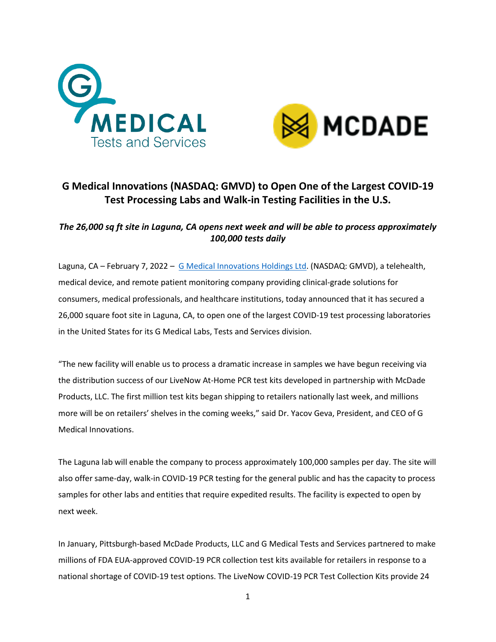



# **G Medical Innovations (NASDAQ: GMVD) to Open One of the Largest COVID-19 Test Processing Labs and Walk-in Testing Facilities in the U.S.**

# *The 26,000 sq ft site in Laguna, CA opens next week and will be able to process approximately 100,000 tests daily*

Laguna, CA – February 7, 2022 – [G Medical Innovations Holdings Ltd.](https://gmedinnovations.com/) (NASDAQ: GMVD), a telehealth, medical device, and remote patient monitoring company providing clinical-grade solutions for consumers, medical professionals, and healthcare institutions, today announced that it has secured a 26,000 square foot site in Laguna, CA, to open one of the largest COVID-19 test processing laboratories in the United States for its G Medical Labs, Tests and Services division.

"The new facility will enable us to process a dramatic increase in samples we have begun receiving via the distribution success of our LiveNow At-Home PCR test kits developed in partnership with McDade Products, LLC. The first million test kits began shipping to retailers nationally last week, and millions more will be on retailers' shelves in the coming weeks," said Dr. Yacov Geva, President, and CEO of G Medical Innovations.

The Laguna lab will enable the company to process approximately 100,000 samples per day. The site will also offer same-day, walk-in COVID-19 PCR testing for the general public and has the capacity to process samples for other labs and entities that require expedited results. The facility is expected to open by next week.

In January, Pittsburgh-based McDade Products, LLC and G Medical Tests and Services partnered to make millions of FDA EUA-approved COVID-19 PCR collection test kits available for retailers in response to a national shortage of COVID-19 test options. The LiveNow COVID-19 PCR Test Collection Kits provide 24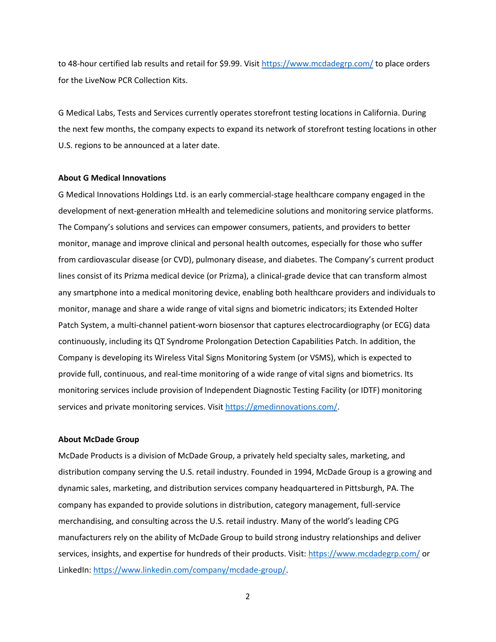to 48-hour certified lab results and retail for \$9.99. Visit<https://www.mcdadegrp.com/> to place orders for the LiveNow PCR Collection Kits.

G Medical Labs, Tests and Services currently operates storefront testing locations in California. During the next few months, the company expects to expand its network of storefront testing locations in other U.S. regions to be announced at a later date.

### **About G Medical Innovations**

G Medical Innovations Holdings Ltd. is an early commercial-stage healthcare company engaged in the development of next-generation mHealth and telemedicine solutions and monitoring service platforms. The Company's solutions and services can empower consumers, patients, and providers to better monitor, manage and improve clinical and personal health outcomes, especially for those who suffer from cardiovascular disease (or CVD), pulmonary disease, and diabetes. The Company's current product lines consist of its Prizma medical device (or Prizma), a clinical-grade device that can transform almost any smartphone into a medical monitoring device, enabling both healthcare providers and individuals to monitor, manage and share a wide range of vital signs and biometric indicators; its Extended Holter Patch System, a multi-channel patient-worn biosensor that captures electrocardiography (or ECG) data continuously, including its QT Syndrome Prolongation Detection Capabilities Patch. In addition, the Company is developing its Wireless Vital Signs Monitoring System (or VSMS), which is expected to provide full, continuous, and real-time monitoring of a wide range of vital signs and biometrics. Its monitoring services include provision of Independent Diagnostic Testing Facility (or IDTF) monitoring services and private monitoring services. Visit [https://gmedinnovations.com/.](https://gmedinnovations.com/)

#### **About McDade Group**

McDade Products is a division of McDade Group, a privately held specialty sales, marketing, and distribution company serving the U.S. retail industry. Founded in 1994, [McDade Group](https://www.mcdadeassociates.com/) is a growing and dynamic sales, marketing, and distribution services company headquartered in Pittsburgh, PA. The company has expanded to provide solutions in distribution, category management, full-service merchandising, and consulting across the U.S. retail industry. Many of the world's leading CPG manufacturers rely on the ability of McDade Group to build strong industry relationships and deliver services, insights, and expertise for hundreds of their products. Visit[: https://www.mcdadegrp.com/](https://www.mcdadegrp.com/) or LinkedIn: [https://www.linkedin.com/company/mcdade-group/.](https://www.linkedin.com/company/mcdade-group/)

2